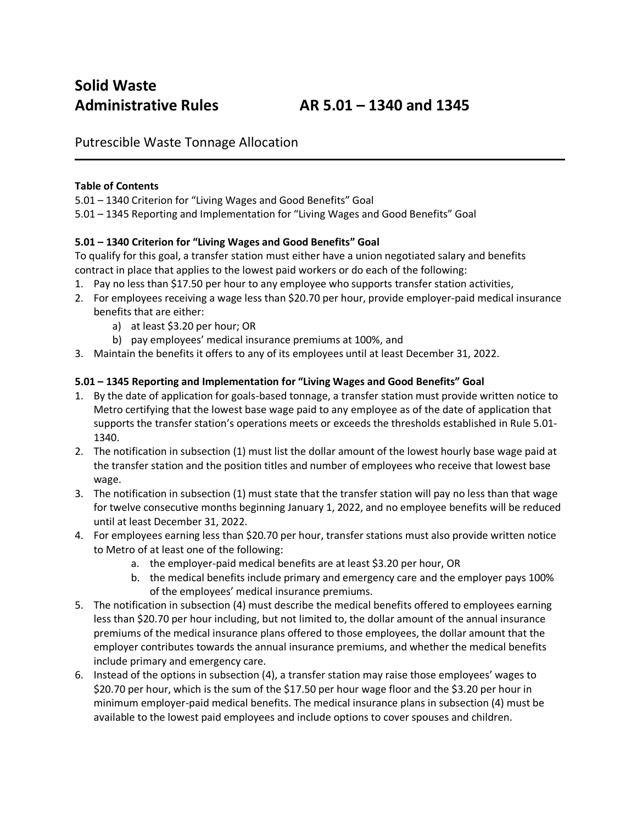Putrescible Waste Tonnage Allocation

## **Table of Contents**

5.01 – 1340 Criterion for "Living Wages and Good Benefits" Goal

5.01 – 1345 Reporting and Implementation for "Living Wages and Good Benefits" Goal

## **5.01 – 1340 Criterion for "Living Wages and Good Benefits" Goal**

To qualify for this goal, a transfer station must either have a union negotiated salary and benefits contract in place that applies to the lowest paid workers or do each of the following:

- 1. Pay no less than \$17.50 per hour to any employee who supports transfer station activities,
- 2. For employees receiving a wage less than \$20.70 per hour, provide employer-paid medical insurance benefits that are either:
	- a) at least \$3.20 per hour; OR
	- b) pay employees' medical insurance premiums at 100%, and
- 3. Maintain the benefits it offers to any of its employees until at least December 31, 2022.

## **5.01 – 1345 Reporting and Implementation for "Living Wages and Good Benefits" Goal**

- 1. By the date of application for goals-based tonnage, a transfer station must provide written notice to Metro certifying that the lowest base wage paid to any employee as of the date of application that supports the transfer station's operations meets or exceeds the thresholds established in Rule 5.01- 1340.
- 2. The notification in subsection (1) must list the dollar amount of the lowest hourly base wage paid at the transfer station and the position titles and number of employees who receive that lowest base wage.
- 3. The notification in subsection (1) must state that the transfer station will pay no less than that wage for twelve consecutive months beginning January 1, 2022, and no employee benefits will be reduced until at least December 31, 2022.
- 4. For employees earning less than \$20.70 per hour, transfer stations must also provide written notice to Metro of at least one of the following:
	- a. the employer-paid medical benefits are at least \$3.20 per hour, OR
	- b. the medical benefits include primary and emergency care and the employer pays 100% of the employees' medical insurance premiums.
- 5. The notification in subsection (4) must describe the medical benefits offered to employees earning less than \$20.70 per hour including, but not limited to, the dollar amount of the annual insurance premiums of the medical insurance plans offered to those employees, the dollar amount that the employer contributes towards the annual insurance premiums, and whether the medical benefits include primary and emergency care.
- 6. Instead of the options in subsection (4), a transfer station may raise those employees' wages to \$20.70 per hour, which is the sum of the \$17.50 per hour wage floor and the \$3.20 per hour in minimum employer-paid medical benefits. The medical insurance plans in subsection (4) must be available to the lowest paid employees and include options to cover spouses and children.